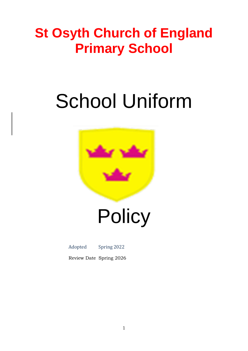### **St Osyth Church of England Primary School**

# School Uniform



## **Policy**

#### Adopted Spring 2022

Review Date Spring 2026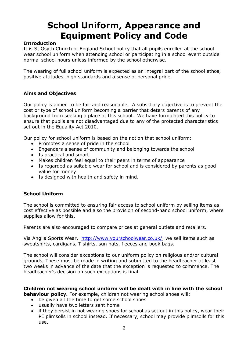### **School Uniform, Appearance and Equipment Policy and Code**

#### **Introduction**

It is St Osyth Church of England School policy that all pupils enrolled at the school wear school uniform when attending school or participating in a school event outside normal school hours unless informed by the school otherwise.

The wearing of full school uniform is expected as an integral part of the school ethos, positive attitudes, high standards and a sense of personal pride.

#### **Aims and Objectives**

Our policy is aimed to be fair and reasonable. A subsidiary objective is to prevent the cost or type of school uniform becoming a barrier that deters parents of any background from seeking a place at this school. We have formulated this policy to ensure that pupils are not disadvantaged due to any of the protected characteristics set out in the Equality Act 2010.

Our policy for school uniform is based on the notion that school uniform:

- Promotes a sense of pride in the school
- Engenders a sense of community and belonging towards the school
- Is practical and smart
- Makes children feel equal to their peers in terms of appearance
- Is regarded as suitable wear for school and is considered by parents as good value for money
- Is designed with health and safety in mind.

#### **School Uniform**

The school is committed to ensuring fair access to school uniform by selling items as cost effective as possible and also the provision of second-hand school uniform, where supplies allow for this.

Parents are also encouraged to compare prices at general outlets and retailers.

Via Anglia Sports Wear, [http://www.yourschoolwear.co.uk/,](http://www.yourschoolwear.co.uk/) we sell items such as sweatshirts, cardigans, T shirts, sun hats, fleeces and book bags.

The school will consider exceptions to our uniform policy on religious and/or cultural grounds, These must be made in writing and submitted to the headteacher at least two weeks in advance of the date that the exception is requested to commence. The headteacher's decision on such exceptions is final.

**Children not wearing school uniform will be dealt with in line with the school behaviour policy.** For example, children not wearing school shoes will:

- be given a little time to get some school shoes
- usually have two letters sent home
- if they persist in not wearing shoes for school as set out in this policy, wear their PE plimsolls in school instead. If necessary, school may provide plimsolls for this use.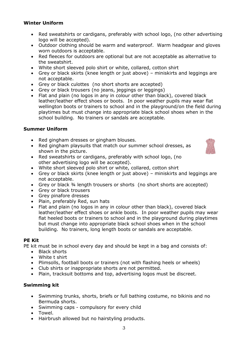#### **Winter Uniform**

- Red sweatshirts or cardigans, preferably with school logo, (no other advertising logo will be accepted).
- Outdoor clothing should be warm and waterproof. Warm headgear and gloves worn outdoors is acceptable.
- Red fleeces for outdoors are optional but are not acceptable as alternative to the sweatshirt.
- White short sleeved polo shirt or white, collared, cotton shirt
- Grey or black skirts (knee length or just above) miniskirts and leggings are not acceptable.
- Grey or black culottes (no short shorts are accepted)
- Grey or black trousers (no jeans, jeggings or leggings)
- Flat and plain (no logos in any in colour other than black), covered black leather/leather effect shoes or boots. In poor weather pupils may wear flat wellington boots or trainers to school and in the playground/on the field during playtimes but must change into appropriate black school shoes when in the school building. No trainers or sandals are acceptable.

#### **Summer Uniform**

- Red gingham dresses or gingham blouses.
- Red gingham playsuits that match our summer school dresses, as shown in the picture.



- Red sweatshirts or cardigans, preferably with school logo, (no other advertising logo will be accepted).
- White short sleeved polo shirt or white, collared, cotton shirt
- Grey or black skirts (knee length or just above) miniskirts and leggings are not acceptable.
- Grey or black 34 length trousers or shorts (no short shorts are accepted)
- Grey or black trousers
- Grey pinafore dresses
- Plain, preferably Red, sun hats
- Flat and plain (no logos in any in colour other than black), covered black leather/leather effect shoes or ankle boots. In poor weather pupils may wear flat heeled boots or trainers to school and in the playground during playtimes but must change into appropriate black school shoes when in the school building. No trainers, long length boots or sandals are acceptable.

#### **PE Kit**

PE kit must be in school every day and should be kept in a bag and consists of:

- Black shorts
- White t shirt
- Plimsolls, football boots or trainers (not with flashing heels or wheels)
- Club shirts or inappropriate shorts are not permitted.
- Plain, tracksuit bottoms and top, advertising logos must be discreet.

#### **Swimming kit**

- Swimming trunks, shorts, briefs or full bathing costume, no bikinis and no Bermuda shorts.
- Swimming caps compulsory for every child
- Towel.
- Hairbrush allowed but no hairstyling products.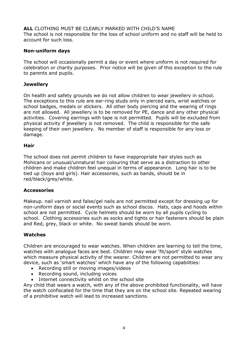**ALL** CLOTHING MUST BE CLEARLY MARKED WITH CHILD'S NAME The school is not responsible for the loss of school uniform and no staff will be held to account for such loss.

#### **Non-uniform days**

The school will occasionally permit a day or event where uniform is not required for celebration or charity purposes. Prior notice will be given of this exception to the rule to parents and pupils.

#### **Jewellery**

On health and safety grounds we do not allow children to wear jewellery in school. The exceptions to this rule are ear-ring studs only in pierced ears, wrist watches or school badges, medals or stickers. All other body piercing and the wearing of rings are not allowed. All jewellery is to be removed for PE, dance and any other physical activities. Covering earrings with tape is not permitted. Pupils will be excluded from physical activity if jewellery is not removed. The child is responsible for the safe keeping of their own jewellery. No member of staff is responsible for any loss or damage.

#### **Hair**

The school does not permit children to have inappropriate hair styles such as Mohicans or unusual/unnatural hair colouring that serve as a distraction to other children and make children feel unequal in terms of appearance. Long hair is to be tied up (boys and girls). Hair accessories, such as bands, should be in red/black/grey/white.

#### **Accessories**

Makeup. nail varnish and false/gel nails are not permitted except for dressing up for non-uniform days or social events such as school discos. Hats, caps and hoods within school are not permitted. Cycle helmets should be worn by all pupils cycling to school. Clothing accessories such as socks and tights or hair fasteners should be plain and Red, grey, black or white. No sweat bands should be worn.

#### **Watches**

Children are encouraged to wear watches. When children are learning to tell the time, watches with analogue faces are best. Children may wear 'fit/sport' style watches which measure physical activity of the wearer. Children are not permitted to wear any device, such as 'smart watches' which have any of the following capabilities:

- Recording still or moving images/videos
- Recording sound, including voices
- Internet connectivity whilst on the school site

Any child that wears a watch, with any of the above prohibited functionality, will have the watch confiscated for the time that they are on the school site. Repeated wearing of a prohibitive watch will lead to increased sanctions.